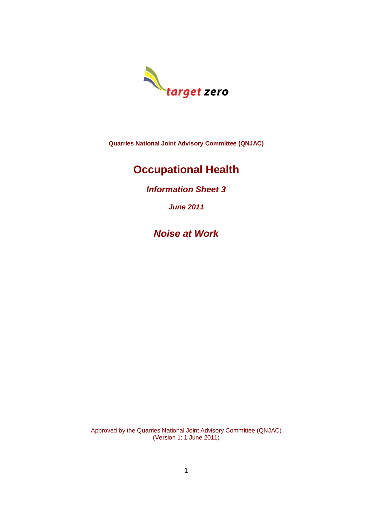

**Quarries National Joint Advisory Committee (QNJAC)**

# **Occupational Health**

*Information Sheet 3*

*June 2011*

*Noise at Work*

Approved by the Quarries National Joint Advisory Committee (QNJAC) (Version 1: 1 June 2011)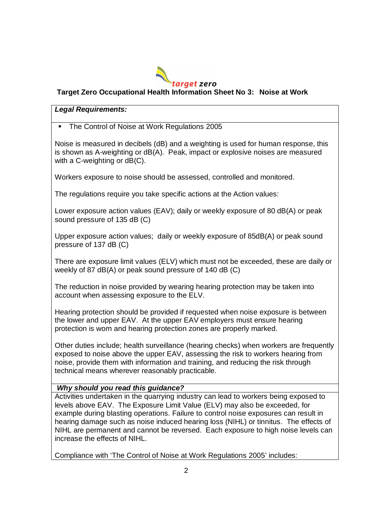

## **Target Zero Occupational Health Information Sheet No 3: Noise at Work**

#### *Legal Requirements:*

The Control of Noise at Work Regulations 2005

Noise is measured in decibels (dB) and a weighting is used for human response, this is shown as A-weighting or dB(A). Peak, impact or explosive noises are measured with a C-weighting or dB(C).

Workers exposure to noise should be assessed, controlled and monitored.

The regulations require you take specific actions at the Action values:

Lower exposure action values (EAV); daily or weekly exposure of 80 dB(A) or peak sound pressure of 135 dB (C)

Upper exposure action values; daily or weekly exposure of 85dB(A) or peak sound pressure of 137 dB (C)

There are exposure limit values (ELV) which must not be exceeded, these are daily or weekly of 87 dB(A) or peak sound pressure of 140 dB (C)

The reduction in noise provided by wearing hearing protection may be taken into account when assessing exposure to the ELV.

Hearing protection should be provided if requested when noise exposure is between the lower and upper EAV. At the upper EAV employers must ensure hearing protection is worn and hearing protection zones are properly marked.

Other duties include; health surveillance (hearing checks) when workers are frequently exposed to noise above the upper EAV, assessing the risk to workers hearing from noise, provide them with information and training, and reducing the risk through technical means wherever reasonably practicable.

#### *Why should you read this guidance?*

Activities undertaken in the quarrying industry can lead to workers being exposed to levels above EAV. The Exposure Limit Value (ELV) may also be exceeded, for example during blasting operations. Failure to control noise exposures can result in hearing damage such as noise induced hearing loss (NIHL) or tinnitus. The effects of NIHL are permanent and cannot be reversed. Each exposure to high noise levels can increase the effects of NIHL.

Compliance with 'The Control of Noise at Work Regulations 2005' includes: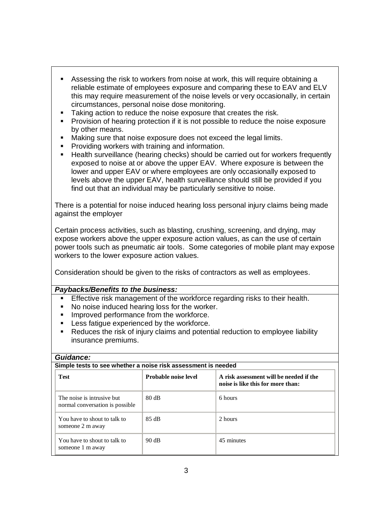- Assessing the risk to workers from noise at work, this will require obtaining a reliable estimate of employees exposure and comparing these to EAV and ELV this may require measurement of the noise levels or very occasionally, in certain circumstances, personal noise dose monitoring.
- Taking action to reduce the noise exposure that creates the risk.
- **Provision of hearing protection if it is not possible to reduce the noise exposure** by other means.
- **Making sure that noise exposure does not exceed the legal limits.**
- **Providing workers with training and information.**
- Health surveillance (hearing checks) should be carried out for workers frequently exposed to noise at or above the upper EAV. Where exposure is between the lower and upper EAV or where employees are only occasionally exposed to levels above the upper EAV, health surveillance should still be provided if you find out that an individual may be particularly sensitive to noise.

There is a potential for noise induced hearing loss personal injury claims being made against the employer

Certain process activities, such as blasting, crushing, screening, and drying, may expose workers above the upper exposure action values, as can the use of certain power tools such as pneumatic air tools. Some categories of mobile plant may expose workers to the lower exposure action values.

Consideration should be given to the risks of contractors as well as employees.

#### *Paybacks/Benefits to the business:*

- Effective risk management of the workforce regarding risks to their health.
- No noise induced hearing loss for the worker.
- **Improved performance from the workforce.**
- **EXELGES** fatigue experienced by the workforce.
- Reduces the risk of injury claims and potential reduction to employee liability insurance premiums.

#### *Guidance:*

| Simple tests to see whether a noise risk assessment is needed |                             |                                                                              |
|---------------------------------------------------------------|-----------------------------|------------------------------------------------------------------------------|
| <b>Test</b>                                                   | <b>Probable noise level</b> | A risk assessment will be needed if the<br>noise is like this for more than: |
| The noise is intrusive but<br>normal conversation is possible | 80 dB                       | 6 hours                                                                      |
| You have to shout to talk to<br>someone 2 m away              | 85 dB                       | 2 hours                                                                      |
| You have to shout to talk to<br>someone 1 m away              | 90 dB                       | 45 minutes                                                                   |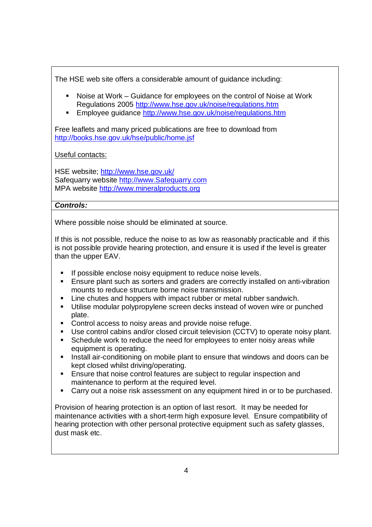The HSE web site offers a considerable amount of guidance including:

- Noise at Work Guidance for employees on the control of Noise at Work Regulations 2005 http://www.hse.gov.uk/noise/regulations.htm
- **Employee guidance http://www.hse.gov.uk/noise/regulations.htm**

Free leaflets and many priced publications are free to download from http://books.hse.gov.uk/hse/public/home.jsf

Useful contacts:

HSE website; http://www.hse.gov.uk/ Safequarry website http://www.Safequarry.com MPA website http://www.mineralproducts.org

## *Controls:*

Where possible noise should be eliminated at source.

If this is not possible, reduce the noise to as low as reasonably practicable and if this is not possible provide hearing protection, and ensure it is used if the level is greater than the upper EAV.

- **If possible enclose noisy equipment to reduce noise levels.**
- Ensure plant such as sorters and graders are correctly installed on anti-vibration mounts to reduce structure borne noise transmission.
- Line chutes and hoppers with impact rubber or metal rubber sandwich.
- Utilise modular polypropylene screen decks instead of woven wire or punched plate.
- **Control access to noisy areas and provide noise refuge.**
- Use control cabins and/or closed circuit television (CCTV) to operate noisy plant.
- **Schedule work to reduce the need for employees to enter noisy areas while** equipment is operating.
- Install air-conditioning on mobile plant to ensure that windows and doors can be kept closed whilst driving/operating.
- **Ensure that noise control features are subject to regular inspection and** maintenance to perform at the required level.
- Carry out a noise risk assessment on any equipment hired in or to be purchased.

Provision of hearing protection is an option of last resort. It may be needed for maintenance activities with a short-term high exposure level. Ensure compatibility of hearing protection with other personal protective equipment such as safety glasses, dust mask etc.